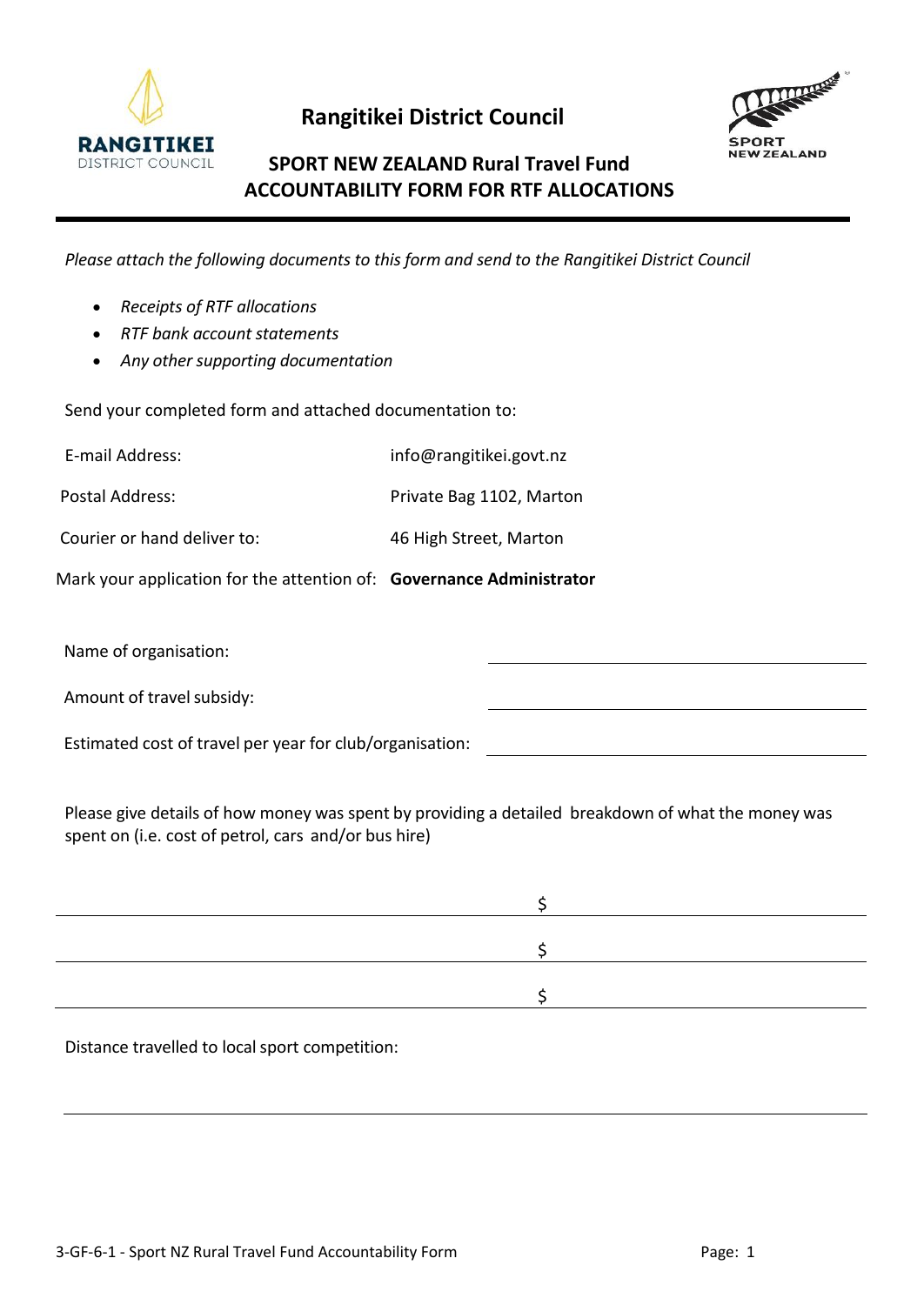

 **Rangitikei District Council**



## **SPORT NEW ZEALAND Rural Travel Fund ACCOUNTABILITY FORM FOR RTF ALLOCATIONS**

*Please attach the following documents to this form and send to the Rangitikei District Council*

|  | Receipts of RTF allocations |
|--|-----------------------------|
|--|-----------------------------|

- *RTF bank account statements*
- *Any other supporting documentation*

Send your completed form and attached documentation to:

E-mail Address: info@rangitikei.govt.nz

Postal Address: Postal Address: Private Bag 1102, Marton

Courier or hand deliver to: 46 High Street, Marton

Mark your application for the attention of: **Governance Administrator**

Name of organisation:

Amount of travel subsidy:

Estimated cost of travel per year for club/organisation:

Please give details of how money was spent by providing a detailed breakdown of what the money was spent on (i.e. cost of petrol, cars and/or bus hire)

Distance travelled to local sport competition: